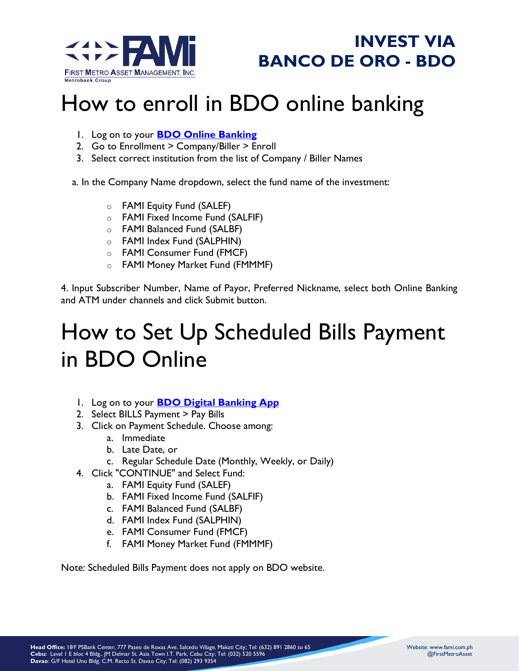



# How to enroll in BDO online banking

- 1. Log on to your **[BDO Online Banking](https://online.bdo.com.ph/sso/login?josso_back_to=https://online.bdo.com.ph/sso/josso_security_check)**
- 2. Go to Enrollment > Company/Biller > Enroll
- 3. Select correct institution from the list of Company / Biller Names

a. In the Company Name dropdown, select the fund name of the investment:

- o FAMI Equity Fund (SALEF)
- o FAMI Fixed Income Fund (SALFIF)
- o FAMI Balanced Fund (SALBF)
- o FAMI Index Fund (SALPHIN)
- o FAMI Consumer Fund (FMCF)
- o FAMI Money Market Fund (FMMMF)

4. Input Subscriber Number, Name of Payor, Preferred Nickname, select both Online Banking and ATM under channels and click Submit button.

## How to Set Up Scheduled Bills Payment in BDO Online

- 1. Log on to your **[BDO Digital Banking App](https://online.bdo.com.ph/)**
- 2. Select BILLS Payment > Pay Bills
- 3. Click on Payment Schedule. Choose among:
	- a. Immediate
	- b. Late Date, or
	- c. Regular Schedule Date (Monthly, Weekly, or Daily)
- 4. Click "CONTINUE" and Select Fund:
	- a. FAMI Equity Fund (SALEF)
		- b. FAMI Fixed Income Fund (SALFIF)
		- c. FAMI Balanced Fund (SALBF)
		- d. FAMI Index Fund (SALPHIN)
		- e. FAMI Consumer Fund (FMCF)
		- f. FAMI Money Market Fund (FMMMF)

Note: Scheduled Bills Payment does not apply on BDO website.